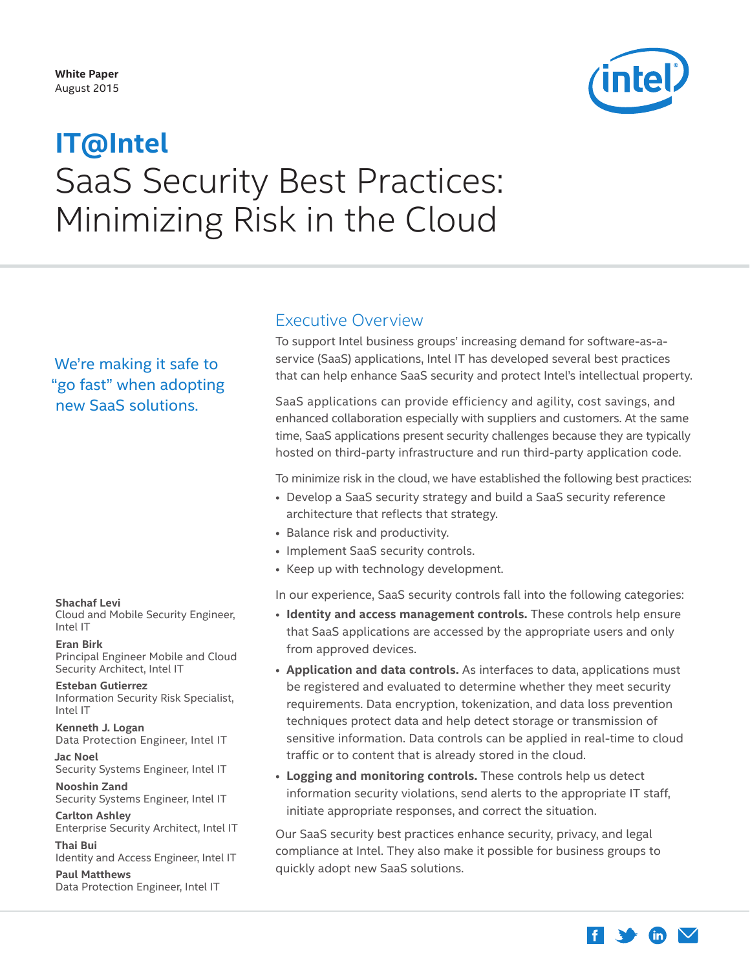

# <span id="page-0-0"></span>SaaS Security Best Practices: Minimizing Risk in the Cloud **IT@Intel**

We're making it safe to "go fast" when adopting new SaaS solutions.

#### **Shachaf Levi**

Cloud and Mobile Security Engineer, Intel IT

**Eran Birk** Principal Engineer Mobile and Cloud Security Architect, Intel IT

**Esteban Gutierrez** Information Security Risk Specialist, Intel IT

**Kenneth J. Logan** Data Protection Engineer, Intel IT

**Jac Noel** Security Systems Engineer, Intel IT

**Nooshin Zand** Security Systems Engineer, Intel IT

**Carlton Ashley** Enterprise Security Architect, Intel IT **Thai Bui**

Identity and Access Engineer, Intel IT

**Paul Matthews** Data Protection Engineer, Intel IT

### Executive Overview

To support Intel business groups' increasing demand for software-as-aservice (SaaS) applications, Intel IT has developed several best practices that can help enhance SaaS security and protect Intel's intellectual property.

SaaS applications can provide efficiency and agility, cost savings, and enhanced collaboration especially with suppliers and customers. At the same time, SaaS applications present security challenges because they are typically hosted on third-party infrastructure and run third-party application code.

To minimize risk in the cloud, we have established the following best practices:

- Develop a SaaS security strategy and build a SaaS security reference architecture that reflects that strategy.
- Balance risk and productivity.
- Implement SaaS security controls.
- Keep up with technology development.

In our experience, SaaS security controls fall into the following categories:

- **Identity and access management controls.** These controls help ensure that SaaS applications are accessed by the appropriate users and only from approved devices.
- **Application and data controls.** As interfaces to data, applications must be registered and evaluated to determine whether they meet security requirements. Data encryption, tokenization, and data loss prevention techniques protect data and help detect storage or transmission of sensitive information. Data controls can be applied in real-time to cloud traffic or to content that is already stored in the cloud.
- **Logging and monitoring controls.** These controls help us detect information security violations, send alerts to the appropriate IT staff, initiate appropriate responses, and correct the situation.

Our SaaS security best practices enhance security, privacy, and legal compliance at Intel. They also make it possible for business groups to quickly adopt new SaaS solutions.

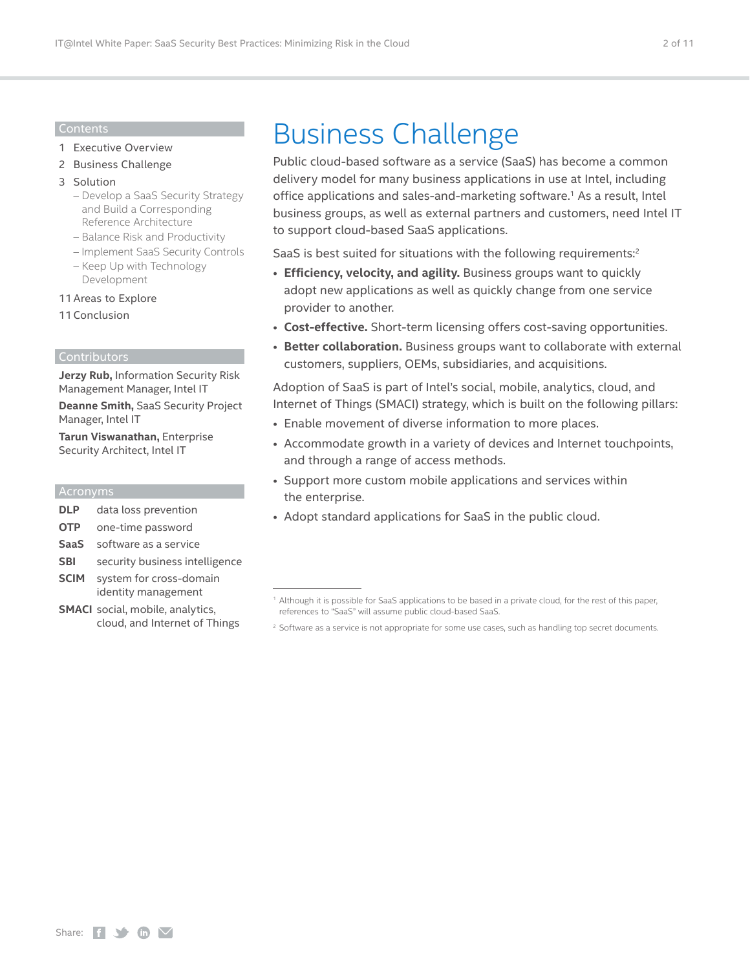#### Contents

- 1 [Executive Overview](#page-0-0)
- 2 Business Challenge
- 3 [Solution](#page-2-0)
	- [Develop a SaaS Security Strategy](#page-2-0)  [and Build a Corresponding](#page-2-0)  [Reference Architecture](#page-2-0)
	- [Balance Risk and Productivity](#page-4-0)
	- [Implement SaaS Security Controls](#page-5-0)
	- [Keep Up with Technology](#page-9-0)  [Development](#page-9-0)
- [11Areas to Explore](#page-10-0)
- [11Conclusion](#page-10-0)

#### Contributors

**Jerzy Rub,** Information Security Risk Management Manager, Intel IT

**Deanne Smith,** SaaS Security Project Manager, Intel IT

**Tarun Viswanathan,** Enterprise Security Architect, Intel IT

#### Acronyms

- **DLP** data loss prevention
- **OTP** one-time password
- **SaaS** software as a service
- **SBI** security business intelligence
- **SCIM** system for cross-domain identity management
- **SMACI** social, mobile, analytics, cloud, and Internet of Things

## Business Challenge

Public cloud-based software as a service (SaaS) has become a common delivery model for many business applications in use at Intel, including office applications and sales-and-marketing software.<sup>1</sup> As a result, Intel business groups, as well as external partners and customers, need Intel IT to support cloud-based SaaS applications.

SaaS is best suited for situations with the following requirements:<sup>2</sup>

- **Efficiency, velocity, and agility.** Business groups want to quickly adopt new applications as well as quickly change from one service provider to another.
- **Cost-effective.** Short-term licensing offers cost-saving opportunities.
- **Better collaboration.** Business groups want to collaborate with external customers, suppliers, OEMs, subsidiaries, and acquisitions.

Adoption of SaaS is part of Intel's social, mobile, analytics, cloud, and Internet of Things (SMACI) strategy, which is built on the following pillars:

- Enable movement of diverse information to more places.
- Accommodate growth in a variety of devices and Internet touchpoints, and through a range of access methods.
- Support more custom mobile applications and services within the enterprise.
- Adopt standard applications for SaaS in the public cloud.

<sup>1</sup> Although it is possible for SaaS applications to be based in a private cloud, for the rest of this paper, references to "SaaS" will assume public cloud-based SaaS.

<sup>&</sup>lt;sup>2</sup> Software as a service is not appropriate for some use cases, such as handling top secret documents.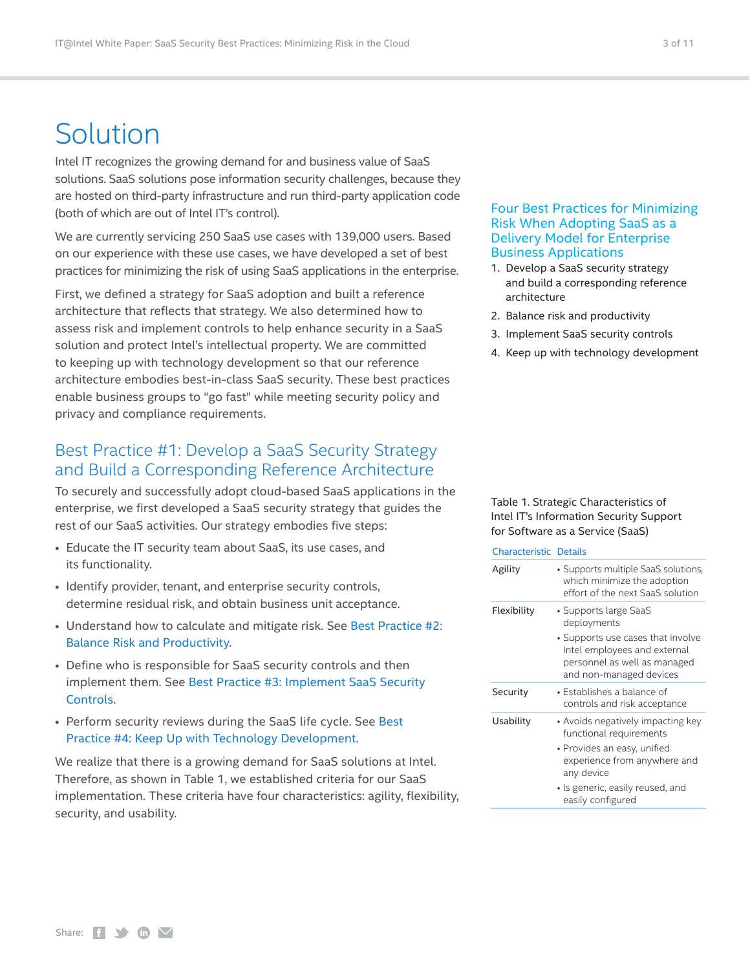## <span id="page-2-0"></span>Solution

Intel IT recognizes the growing demand for and business value of SaaS solutions. SaaS solutions pose information security challenges, because they are hosted on third-party infrastructure and run third-party application code (both of which are out of Intel IT's control).

We are currently servicing 250 SaaS use cases with 139,000 users. Based on our experience with these use cases, we have developed a set of best practices for minimizing the risk of using SaaS applications in the enterprise.

First, we defined a strategy for SaaS adoption and built a reference architecture that reflects that strategy. We also determined how to assess risk and implement controls to help enhance security in a SaaS solution and protect Intel's intellectual property. We are committed to keeping up with technology development so that our reference architecture embodies best-in-class SaaS security. These best practices enable business groups to "go fast" while meeting security policy and privacy and compliance requirements.

### Best Practice #1: Develop a SaaS Security Strategy and Build a Corresponding Reference Architecture

To securely and successfully adopt cloud-based SaaS applications in the enterprise, we first developed a SaaS security strategy that guides the rest of our SaaS activities. Our strategy embodies five steps:

- Educate the IT security team about SaaS, its use cases, and its functionality.
- Identify provider, tenant, and enterprise security controls, determine residual risk, and obtain business unit acceptance.
- Understand how to calculate and mitigate risk. See [Best Practice #2:](#page-4-1)  [Balance Risk and Productivity](#page-4-1).
- Define who is responsible for SaaS security controls and then implement them. See [Best Practice #3: Implement SaaS Security](#page-5-1)  [Controls.](#page-5-1)
- Perform security reviews during the SaaS life cycle. See [Best](#page-9-1)  [Practice #4: Keep Up with Technology Development.](#page-9-1)

We realize that there is a growing demand for SaaS solutions at Intel. Therefore, as shown in Table 1, we established criteria for our SaaS implementation. These criteria have four characteristics: agility, flexibility, security, and usability.

#### Four Best Practices for Minimizing Risk When Adopting SaaS as a Delivery Model for Enterprise Business Applications

- 1. Develop a SaaS security strategy and build a corresponding reference architecture
- 2. Balance risk and productivity
- 3. Implement SaaS security controls
- 4. Keep up with technology development

#### Table 1. Strategic Characteristics of Intel IT's Information Security Support for Software as a Service (SaaS)

| Characteristic Details |  |
|------------------------|--|
|                        |  |

| Agility     | • Supports multiple SaaS solutions,<br>which minimize the adoption<br>effort of the next SaaS solution                                                                                             |
|-------------|----------------------------------------------------------------------------------------------------------------------------------------------------------------------------------------------------|
| Flexibility | • Supports large SaaS<br>deployments<br>• Supports use cases that involve<br>Intel employees and external<br>personnel as well as managed<br>and non-managed devices                               |
| Security    | $\bullet$ Establishes a balance of<br>controls and risk acceptance                                                                                                                                 |
| Usability   | • Avoids negatively impacting key<br>functional requirements<br>· Provides an easy, unified<br>experience from anywhere and<br>any device<br>· Is generic, easily reused, and<br>easily configured |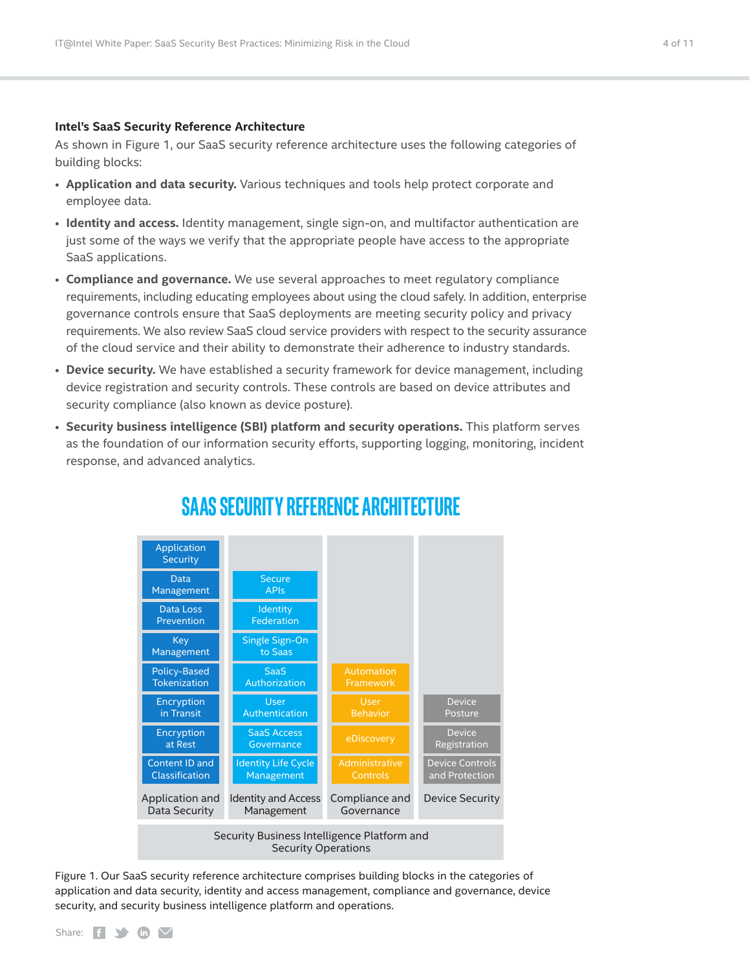#### **Intel's SaaS Security Reference Architecture**

As shown in Figure 1, our SaaS security reference architecture uses the following categories of building blocks:

- **Application and data security.** Various techniques and tools help protect corporate and employee data.
- **Identity and access.** Identity management, single sign-on, and multifactor authentication are just some of the ways we verify that the appropriate people have access to the appropriate SaaS applications.
- **Compliance and governance.** We use several approaches to meet regulatory compliance requirements, including educating employees about using the cloud safely. In addition, enterprise governance controls ensure that SaaS deployments are meeting security policy and privacy requirements. We also review SaaS cloud service providers with respect to the security assurance of the cloud service and their ability to demonstrate their adherence to industry standards.
- **Device security.** We have established a security framework for device management, including device registration and security controls. These controls are based on device attributes and security compliance (also known as device posture).
- **Security business intelligence (SBI) platform and security operations.** This platform serves as the foundation of our information security efforts, supporting logging, monitoring, incident response, and advanced analytics.



## **SAAS SECURITY REFERENCE ARCHITECTURE**

Figure 1. Our SaaS security reference architecture comprises building blocks in the categories of application and data security, identity and access management, compliance and governance, device security, and security business intelligence platform and operations.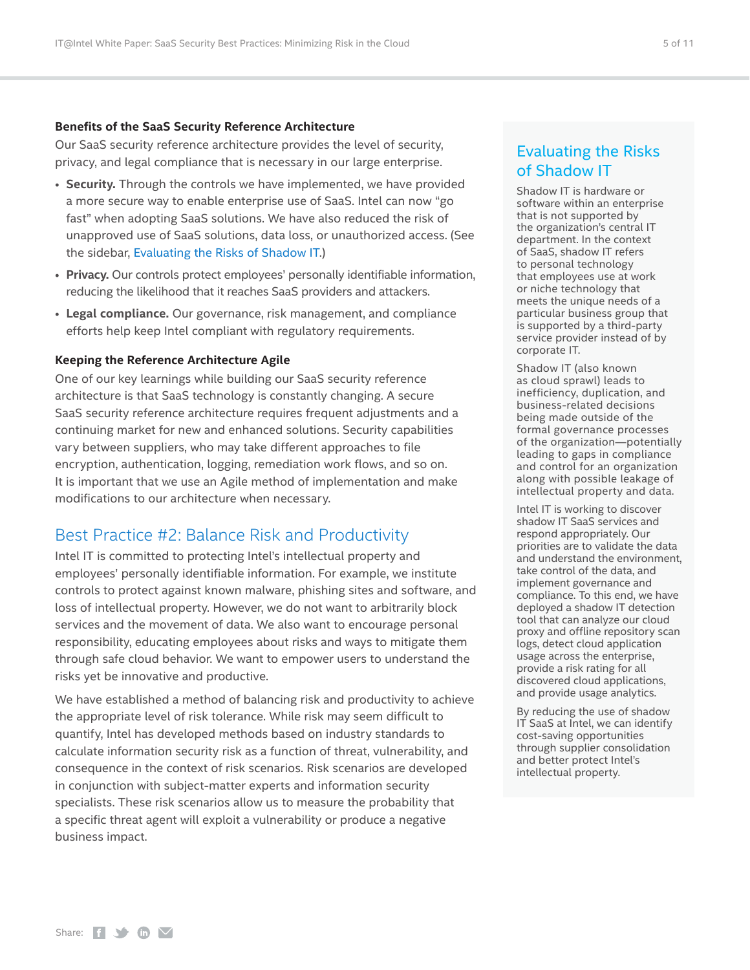#### <span id="page-4-0"></span>**Benefits of the SaaS Security Reference Architecture**

Our SaaS security reference architecture provides the level of security, privacy, and legal compliance that is necessary in our large enterprise.

- **Security.** Through the controls we have implemented, we have provided a more secure way to enable enterprise use of SaaS. Intel can now "go fast" when adopting SaaS solutions. We have also reduced the risk of unapproved use of SaaS solutions, data loss, or unauthorized access. (See the sidebar, [Evaluating the Risks of](#page-4-2) Shadow IT.)
- **Privacy.** Our controls protect employees' personally identifiable information, reducing the likelihood that it reaches SaaS providers and attackers.
- **Legal compliance.** Our governance, risk management, and compliance efforts help keep Intel compliant with regulatory requirements.

#### **Keeping the Reference Architecture Agile**

One of our key learnings while building our SaaS security reference architecture is that SaaS technology is constantly changing. A secure SaaS security reference architecture requires frequent adjustments and a continuing market for new and enhanced solutions. Security capabilities vary between suppliers, who may take different approaches to file encryption, authentication, logging, remediation work flows, and so on. It is important that we use an Agile method of implementation and make modifications to our architecture when necessary.

## <span id="page-4-1"></span>Best Practice #2: Balance Risk and Productivity

Intel IT is committed to protecting Intel's intellectual property and employees' personally identifiable information. For example, we institute controls to protect against known malware, phishing sites and software, and loss of intellectual property. However, we do not want to arbitrarily block services and the movement of data. We also want to encourage personal responsibility, educating employees about risks and ways to mitigate them through safe cloud behavior. We want to empower users to understand the risks yet be innovative and productive.

We have established a method of balancing risk and productivity to achieve the appropriate level of risk tolerance. While risk may seem difficult to quantify, Intel has developed methods based on industry standards to calculate information security risk as a function of threat, vulnerability, and consequence in the context of risk scenarios. Risk scenarios are developed in conjunction with subject-matter experts and information security specialists. These risk scenarios allow us to measure the probability that a specific threat agent will exploit a vulnerability or produce a negative business impact.

## <span id="page-4-2"></span>Evaluating the Risks of Shadow IT

Shadow IT is hardware or software within an enterprise that is not supported by the organization's central IT department. In the context of SaaS, shadow IT refers to personal technology that employees use at work or niche technology that meets the unique needs of a particular business group that is supported by a third-party service provider instead of by corporate IT.

Shadow IT (also known as cloud sprawl) leads to inefficiency, duplication, and business-related decisions being made outside of the formal governance processes of the organization—potentially leading to gaps in compliance and control for an organization along with possible leakage of intellectual property and data.

Intel IT is working to discover shadow IT SaaS services and respond appropriately. Our priorities are to validate the data and understand the environment, take control of the data, and implement governance and compliance. To this end, we have deployed a shadow IT detection tool that can analyze our cloud proxy and offline repository scan logs, detect cloud application usage across the enterprise, provide a risk rating for all discovered cloud applications, and provide usage analytics.

By reducing the use of shadow IT SaaS at Intel, we can identify cost-saving opportunities through supplier consolidation and better protect Intel's intellectual property.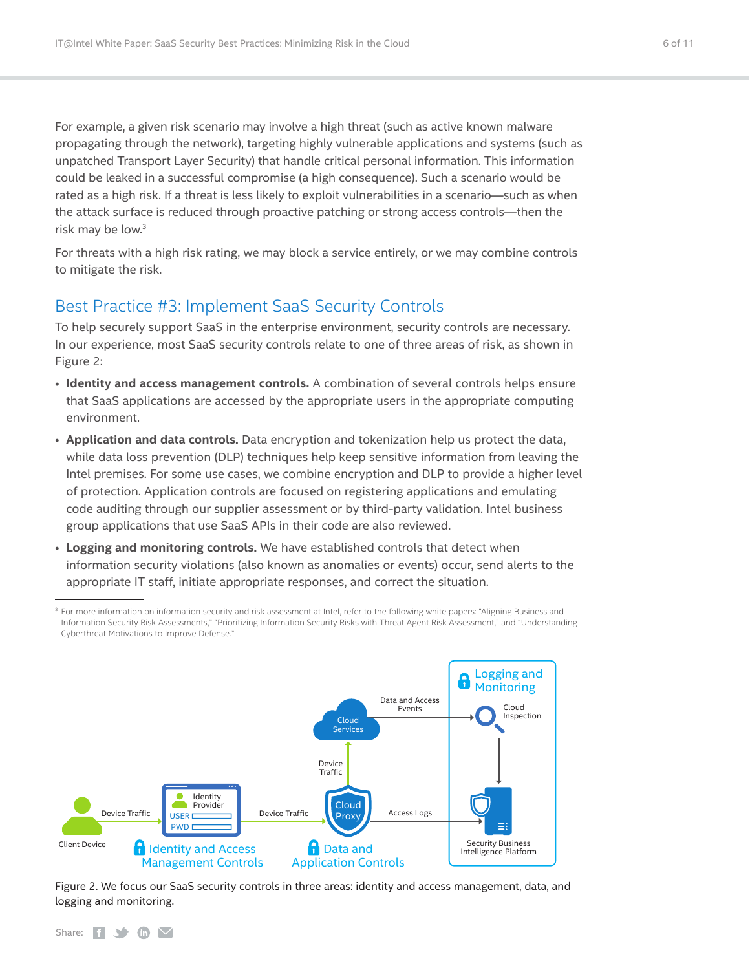<span id="page-5-0"></span>For example, a given risk scenario may involve a high threat (such as active known malware propagating through the network), targeting highly vulnerable applications and systems (such as unpatched Transport Layer Security) that handle critical personal information. This information could be leaked in a successful compromise (a high consequence). Such a scenario would be rated as a high risk. If a threat is less likely to exploit vulnerabilities in a scenario—such as when the attack surface is reduced through proactive patching or strong access controls—then the risk may be low.3

For threats with a high risk rating, we may block a service entirely, or we may combine controls to mitigate the risk.

### <span id="page-5-1"></span>Best Practice #3: Implement SaaS Security Controls

To help securely support SaaS in the enterprise environment, security controls are necessary. In our experience, most SaaS security controls relate to one of three areas of risk, as shown in Figure 2:

- **Identity and access management controls.** A combination of several controls helps ensure that SaaS applications are accessed by the appropriate users in the appropriate computing environment.
- **Application and data controls.** Data encryption and tokenization help us protect the data, while data loss prevention (DLP) techniques help keep sensitive information from leaving the Intel premises. For some use cases, we combine encryption and DLP to provide a higher level of protection. Application controls are focused on registering applications and emulating code auditing through our supplier assessment or by third-party validation. Intel business group applications that use SaaS APIs in their code are also reviewed.
- **Logging and monitoring controls.** We have established controls that detect when information security violations (also known as anomalies or events) occur, send alerts to the appropriate IT staff, initiate appropriate responses, and correct the situation.

<sup>&</sup>lt;sup>3</sup> For more information on information security and risk assessment at Intel, refer to the following white papers: "Aligning Business and Information Security Risk Assessments," "Prioritizing Information Security Risks with Threat Agent Risk Assessment," and "Understanding Cyberthreat Motivations to Improve Defense."



Figure 2. We focus our SaaS security controls in three areas: identity and access management, data, and logging and monitoring.

Share:  $f \rightarrow f$  in  $\vee$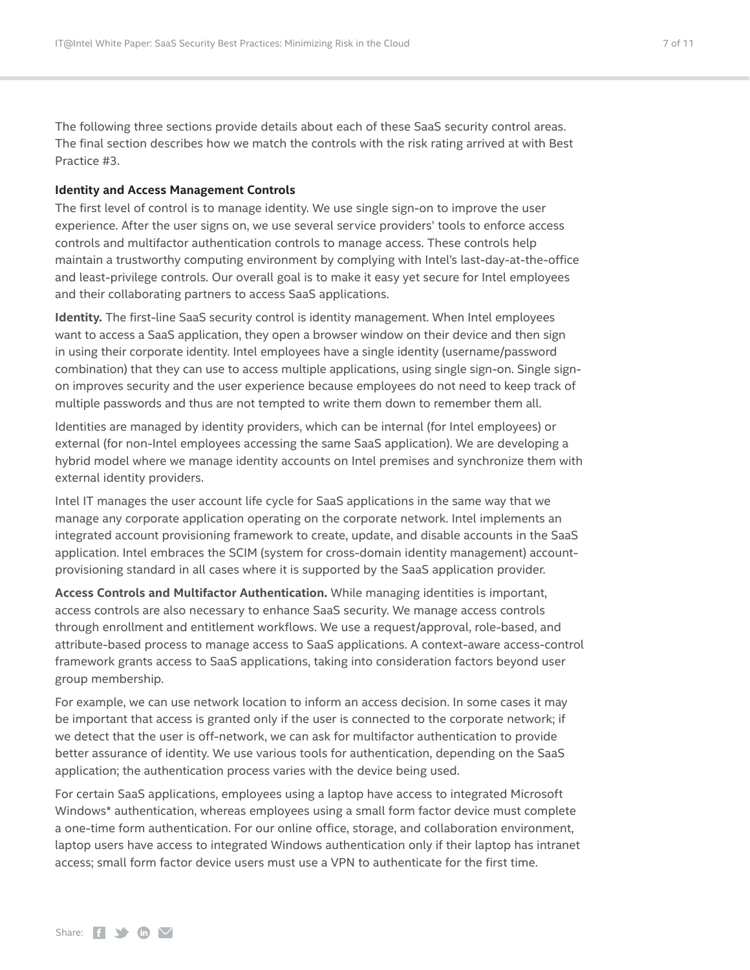The following three sections provide details about each of these SaaS security control areas. The final section describes how we match the controls with the risk rating arrived at with Best Practice #3.

#### **Identity and Access Management Controls**

The first level of control is to manage identity. We use single sign-on to improve the user experience. After the user signs on, we use several service providers' tools to enforce access controls and multifactor authentication controls to manage access. These controls help maintain a trustworthy computing environment by complying with Intel's last-day-at-the-office and least-privilege controls. Our overall goal is to make it easy yet secure for Intel employees and their collaborating partners to access SaaS applications.

**Identity.** The first-line SaaS security control is identity management. When Intel employees want to access a SaaS application, they open a browser window on their device and then sign in using their corporate identity. Intel employees have a single identity (username/password combination) that they can use to access multiple applications, using single sign-on. Single signon improves security and the user experience because employees do not need to keep track of multiple passwords and thus are not tempted to write them down to remember them all.

Identities are managed by identity providers, which can be internal (for Intel employees) or external (for non-Intel employees accessing the same SaaS application). We are developing a hybrid model where we manage identity accounts on Intel premises and synchronize them with external identity providers.

Intel IT manages the user account life cycle for SaaS applications in the same way that we manage any corporate application operating on the corporate network. Intel implements an integrated account provisioning framework to create, update, and disable accounts in the SaaS application. Intel embraces the SCIM (system for cross-domain identity management) accountprovisioning standard in all cases where it is supported by the SaaS application provider.

**Access Controls and Multifactor Authentication.** While managing identities is important, access controls are also necessary to enhance SaaS security. We manage access controls through enrollment and entitlement workflows. We use a request/approval, role-based, and attribute-based process to manage access to SaaS applications. A context-aware access-control framework grants access to SaaS applications, taking into consideration factors beyond user group membership.

For example, we can use network location to inform an access decision. In some cases it may be important that access is granted only if the user is connected to the corporate network; if we detect that the user is off-network, we can ask for multifactor authentication to provide better assurance of identity. We use various tools for authentication, depending on the SaaS application; the authentication process varies with the device being used.

For certain SaaS applications, employees using a laptop have access to integrated Microsoft Windows\* authentication, whereas employees using a small form factor device must complete a one-time form authentication. For our online office, storage, and collaboration environment, laptop users have access to integrated Windows authentication only if their laptop has intranet access; small form factor device users must use a VPN to authenticate for the first time.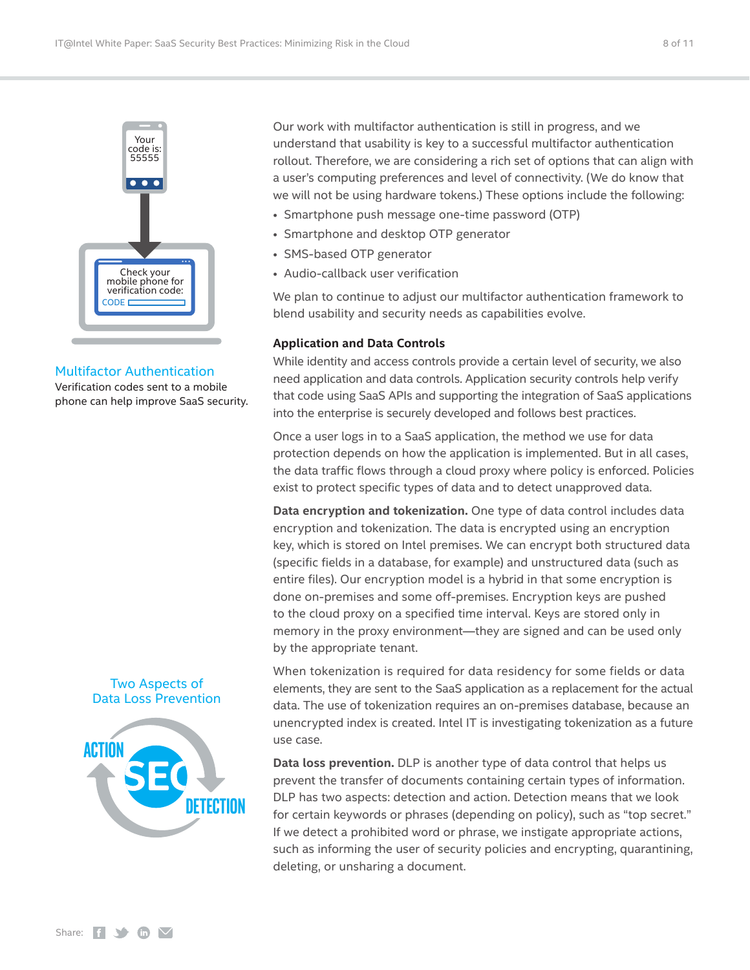

#### Multifactor Authentication

Verification codes sent to a mobile phone can help improve SaaS security.

#### Two Aspects of Data Loss Prevention



Our work with multifactor authentication is still in progress, and we understand that usability is key to a successful multifactor authentication rollout. Therefore, we are considering a rich set of options that can align with a user's computing preferences and level of connectivity. (We do know that we will not be using hardware tokens.) These options include the following:

- Smartphone push message one-time password (OTP)
- Smartphone and desktop OTP generator
- SMS-based OTP generator
- Audio-callback user verification

We plan to continue to adjust our multifactor authentication framework to blend usability and security needs as capabilities evolve.

#### **Application and Data Controls**

While identity and access controls provide a certain level of security, we also need application and data controls. Application security controls help verify that code using SaaS APIs and supporting the integration of SaaS applications into the enterprise is securely developed and follows best practices.

Once a user logs in to a SaaS application, the method we use for data protection depends on how the application is implemented. But in all cases, the data traffic flows through a cloud proxy where policy is enforced. Policies exist to protect specific types of data and to detect unapproved data.

**Data encryption and tokenization.** One type of data control includes data encryption and tokenization. The data is encrypted using an encryption key, which is stored on Intel premises. We can encrypt both structured data (specific fields in a database, for example) and unstructured data (such as entire files). Our encryption model is a hybrid in that some encryption is done on-premises and some off-premises. Encryption keys are pushed to the cloud proxy on a specified time interval. Keys are stored only in memory in the proxy environment—they are signed and can be used only by the appropriate tenant.

When tokenization is required for data residency for some fields or data elements, they are sent to the SaaS application as a replacement for the actual data. The use of tokenization requires an on-premises database, because an unencrypted index is created. Intel IT is investigating tokenization as a future use case.

**Data loss prevention.** DLP is another type of data control that helps us prevent the transfer of documents containing certain types of information. DLP has two aspects: detection and action. Detection means that we look for certain keywords or phrases (depending on policy), such as "top secret." If we detect a prohibited word or phrase, we instigate appropriate actions, such as informing the user of security policies and encrypting, quarantining, deleting, or unsharing a document.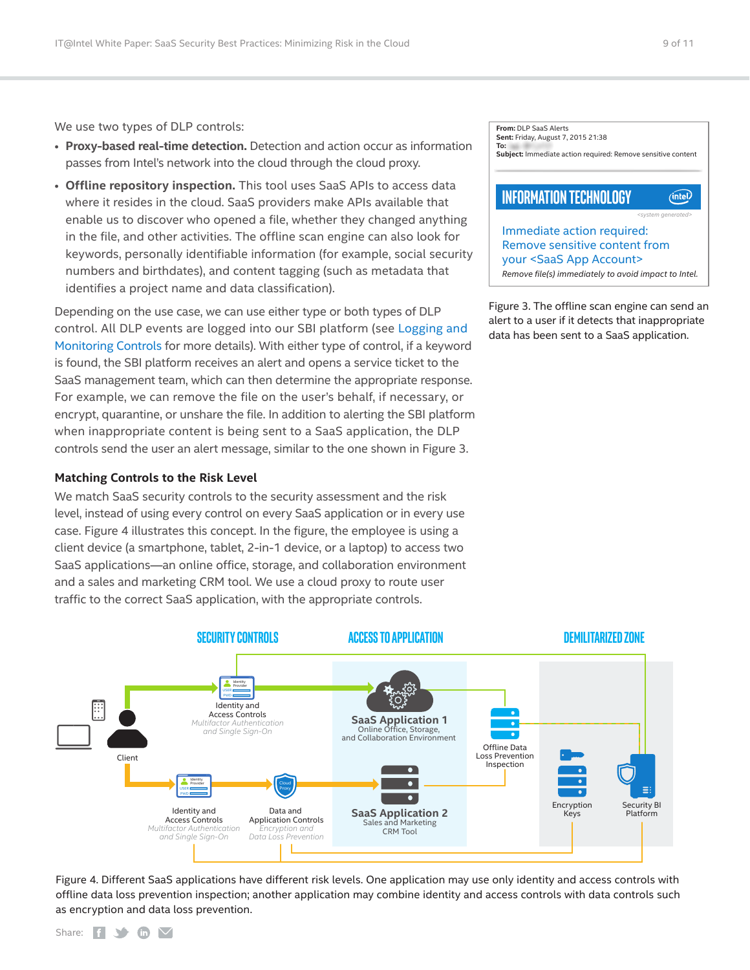We use two types of DLP controls:

- **Proxy-based real-time detection.** Detection and action occur as information passes from Intel's network into the cloud through the cloud proxy.
- **Offline repository inspection.** This tool uses SaaS APIs to access data where it resides in the cloud. SaaS providers make APIs available that enable us to discover who opened a file, whether they changed anything in the file, and other activities. The offline scan engine can also look for keywords, personally identifiable information (for example, social security numbers and birthdates), and content tagging (such as metadata that identifies a project name and data classification).

Depending on the use case, we can use either type or both types of DLP control. All DLP events are logged into our SBI platform (see [Logging and](#page-9-2)  [Monitoring Controls](#page-9-2) for more details). With either type of control, if a keyword is found, the SBI platform receives an alert and opens a service ticket to the SaaS management team, which can then determine the appropriate response. For example, we can remove the file on the user's behalf, if necessary, or encrypt, quarantine, or unshare the file. In addition to alerting the SBI platform when inappropriate content is being sent to a SaaS application, the DLP controls send the user an alert message, similar to the one shown in Figure 3.

#### **Matching Controls to the Risk Level**

We match SaaS security controls to the security assessment and the risk level, instead of using every control on every SaaS application or in every use case. Figure 4 illustrates this concept. In the figure, the employee is using a client device (a smartphone, tablet, 2-in-1 device, or a laptop) to access two SaaS applications—an online office, storage, and collaboration environment and a sales and marketing CRM tool. We use a cloud proxy to route user traffic to the correct SaaS application, with the appropriate controls.

| From: DLP SaaS Alerts<br>Sent: Friday, August 7, 2015 21:38<br>To: |                                |  |
|--------------------------------------------------------------------|--------------------------------|--|
| Subject: Immediate action required: Remove sensitive content       |                                |  |
|                                                                    |                                |  |
| <b>INFORMATION TECHNOLOGY</b>                                      |                                |  |
|                                                                    | <system generated=""></system> |  |
| Immediate action required:                                         |                                |  |
| Remove sensitive content from                                      |                                |  |
| your <saas account="" app=""></saas>                               |                                |  |
| Remove file(s) immediately to avoid impact to Intel.               |                                |  |

Figure 3. The offline scan engine can send an alert to a user if it detects that inappropriate data has been sent to a SaaS application.



Figure 4. Different SaaS applications have different risk levels. One application may use only identity and access controls with offline data loss prevention inspection; another application may combine identity and access controls with data controls such as encryption and data loss prevention.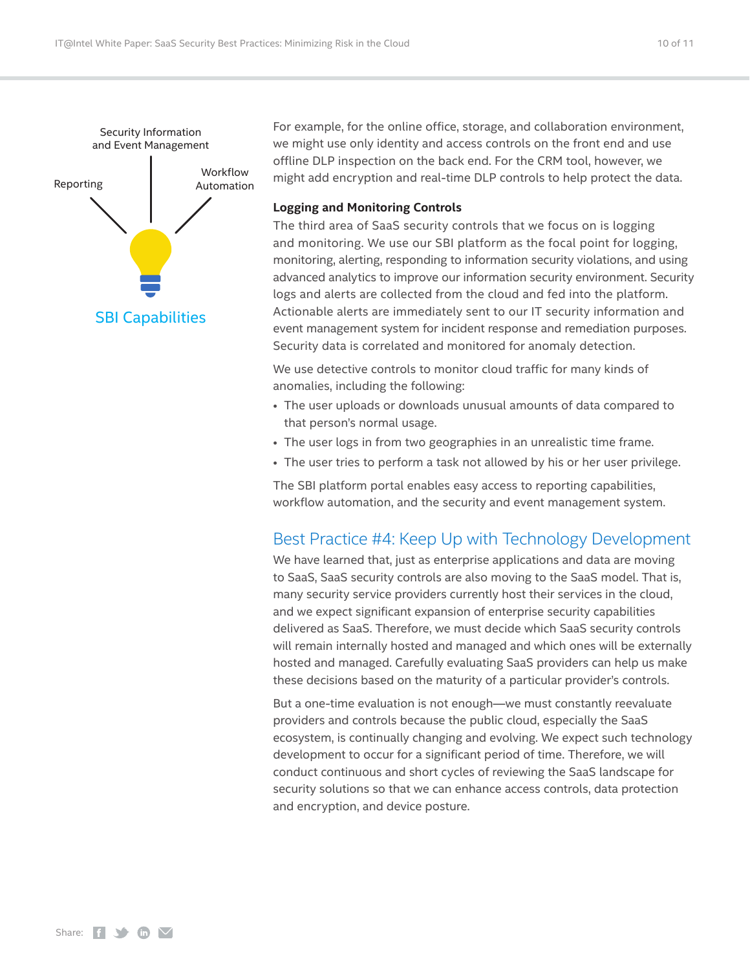<span id="page-9-0"></span>

For example, for the online office, storage, and collaboration environment, we might use only identity and access controls on the front end and use offline DLP inspection on the back end. For the CRM tool, however, we might add encryption and real-time DLP controls to help protect the data.

#### <span id="page-9-2"></span>**Logging and Monitoring Controls**

The third area of SaaS security controls that we focus on is logging and monitoring. We use our SBI platform as the focal point for logging, monitoring, alerting, responding to information security violations, and using advanced analytics to improve our information security environment. Security logs and alerts are collected from the cloud and fed into the platform. Actionable alerts are immediately sent to our IT security information and event management system for incident response and remediation purposes. Security data is correlated and monitored for anomaly detection.

We use detective controls to monitor cloud traffic for many kinds of anomalies, including the following:

- The user uploads or downloads unusual amounts of data compared to that person's normal usage.
- The user logs in from two geographies in an unrealistic time frame.
- The user tries to perform a task not allowed by his or her user privilege.

The SBI platform portal enables easy access to reporting capabilities, workflow automation, and the security and event management system.

### <span id="page-9-1"></span>Best Practice #4: Keep Up with Technology Development

We have learned that, just as enterprise applications and data are moving to SaaS, SaaS security controls are also moving to the SaaS model. That is, many security service providers currently host their services in the cloud, and we expect significant expansion of enterprise security capabilities delivered as SaaS. Therefore, we must decide which SaaS security controls will remain internally hosted and managed and which ones will be externally hosted and managed. Carefully evaluating SaaS providers can help us make these decisions based on the maturity of a particular provider's controls.

But a one-time evaluation is not enough—we must constantly reevaluate providers and controls because the public cloud, especially the SaaS ecosystem, is continually changing and evolving. We expect such technology development to occur for a significant period of time. Therefore, we will conduct continuous and short cycles of reviewing the SaaS landscape for security solutions so that we can enhance access controls, data protection and encryption, and device posture.